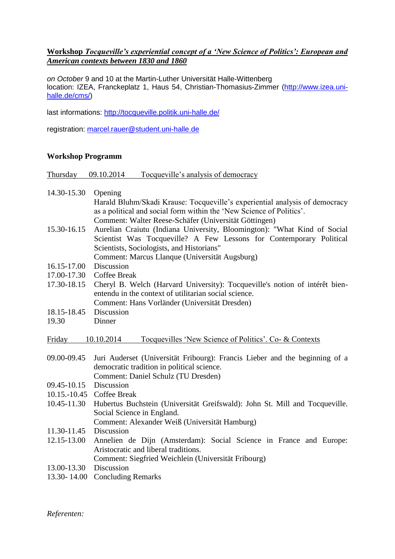## **Workshop** *Tocqueville's experiential concept of a 'New Science of Politics': European and American contexts between 1830 and 1860*

*on October* 9 and 10 at the Martin-Luther Universität Halle-Wittenberg location: IZEA, Franckeplatz 1, Haus 54, Christian-Thomasius-Zimmer [\(http://www.izea.uni](http://www.izea.uni-halle.de/cms/)[halle.de/cms/\)](http://www.izea.uni-halle.de/cms/)

last informations: <http://tocqueville.politik.uni-halle.de/>

registration: [marcel.rauer@student.uni-halle.de](mailto:marcel.rauer@student.uni-halle.de)

## **Workshop Programm**

Thursday 09.10.2014 Tocqueville's analysis of democracy

## 14.30-15.30 Opening

Harald Bluhm/Skadi Krause: Tocqueville's experiential analysis of democracy as a political and social form within the 'New Science of Politics'. Comment: Walter Reese-Schäfer (Universität Göttingen)

- 15.30-16.15 Aurelian Craiutu (Indiana University, Bloomington): "What Kind of Social Scientist Was Tocqueville? A Few Lessons for Contemporary Political Scientists, Sociologists, and Historians"
	- Comment: Marcus Llanque (Universität Augsburg)
- 16.15-17.00 Discussion
- 17.00-17.30 Coffee Break
- 17.30-18.15 Cheryl B. Welch (Harvard University): Tocqueville's notion of intérêt bienentendu in the context of utilitarian social science. Comment: Hans Vorländer (Universität Dresden)
- 18.15-18.45 Discussion
- 19.30 Dinner

Friday 10.10.2014 Tocquevilles 'New Science of Politics'. Co- & Contexts

- 09.00-09.45 Juri Auderset (Universität Fribourg): Francis Lieber and the beginning of a democratic tradition in political science.
	- Comment: Daniel Schulz (TU Dresden)
- 09.45-10.15 Discussion
- 10.15.-10.45 Coffee Break
- 10.45-11.30 Hubertus Buchstein (Universität Greifswald): John St. Mill and Tocqueville. Social Science in England.
	- Comment: Alexander Weiß (Universität Hamburg)
- 11.30-11.45 Discussion
- 12.15-13.00 Annelien de Dijn (Amsterdam): Social Science in France and Europe: Aristocratic and liberal traditions. Comment: Siegfried Weichlein (Universität Fribourg)
- 13.00-13.30 Discussion
- 13.30- 14.00 Concluding Remarks